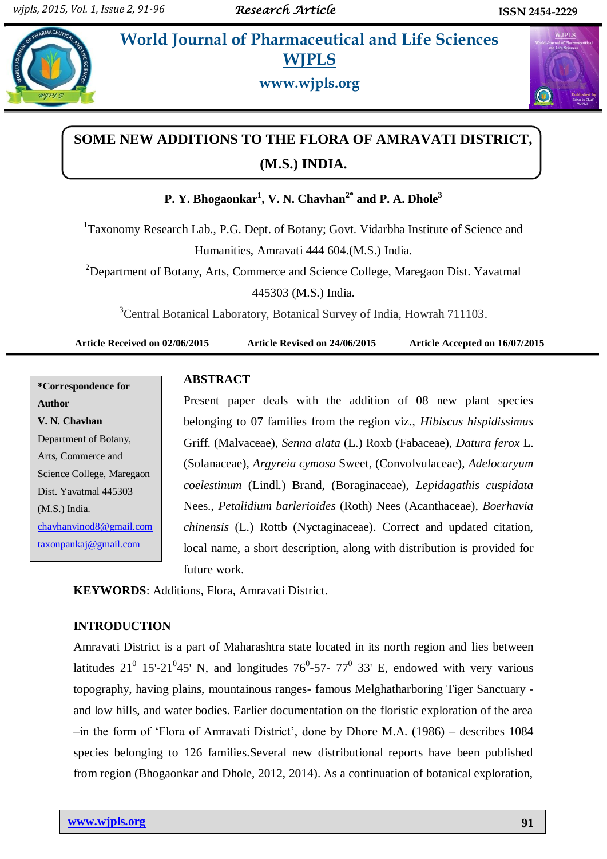## **Pharmaceutical and Life Sciences WJPLS**



**www.wjpls.org**



# **SOME NEW ADDITIONS TO THE FLORA OF AMRAVATI DISTRICT, (M.S.) INDIA.**

**P. Y. Bhogaonkar<sup>1</sup> , V. N. Chavhan2\* and P. A. Dhole<sup>3</sup>**

<sup>1</sup>Taxonomy Research Lab., P.G. Dept. of Botany; Govt. Vidarbha Institute of Science and Humanities, Amravati 444 604.(M.S.) India.

<sup>2</sup>Department of Botany, Arts, Commerce and Science College, Maregaon Dist. Yavatmal 445303 (M.S.) India.

<sup>3</sup>Central Botanical Laboratory, Botanical Survey of India, Howrah 711103.

**Article Received on 02/06/2015 Article Revised on 24/06/2015 Article Accepted on 16/07/2015**

**\*Correspondence for Author V. N. Chavhan** Department of Botany, Arts, Commerce and Science College, Maregaon Dist. Yavatmal 445303 (M.S.) India. [chavhanvinod8@gmail.com](mailto:chavhanvinod8@gmail.com) [taxonpankaj@gmail.com](mailto:taxonpankaj@gmail.com)

## **ABSTRACT**

Present paper deals with the addition of 08 new plant species belonging to 07 families from the region viz., *Hibiscus hispidissimus*  Griff. (Malvaceae), *Senna alata* (L.) Roxb (Fabaceae), *Datura ferox* L. (Solanaceae), *Argyreia cymosa* Sweet, (Convolvulaceae), *Adelocaryum coelestinum* (Lindl.) Brand, (Boraginaceae), *Lepidagathis cuspidata*  Nees., *Petalidium barlerioides* (Roth) Nees (Acanthaceae), *Boerhavia chinensis* (L.) Rottb (Nyctaginaceae). Correct and updated citation, local name, a short description, along with distribution is provided for future work.

**KEYWORDS**: Additions, Flora, Amravati District.

## **INTRODUCTION**

Amravati District is a part of Maharashtra state located in its north region and lies between latitudes  $21^0$  15'-21<sup>0</sup>45' N, and longitudes 76<sup>0</sup>-57- 77<sup>0</sup> 33' E, endowed with very various topography, having plains, mountainous ranges- famous Melghatharboring Tiger Sanctuary and low hills, and water bodies. Earlier documentation on the floristic exploration of the area –in the form of 'Flora of Amravati District', done by Dhore M.A. (1986) – describes 1084 species belonging to 126 families.Several new distributional reports have been published from region (Bhogaonkar and Dhole, 2012, 2014). As a continuation of botanical exploration,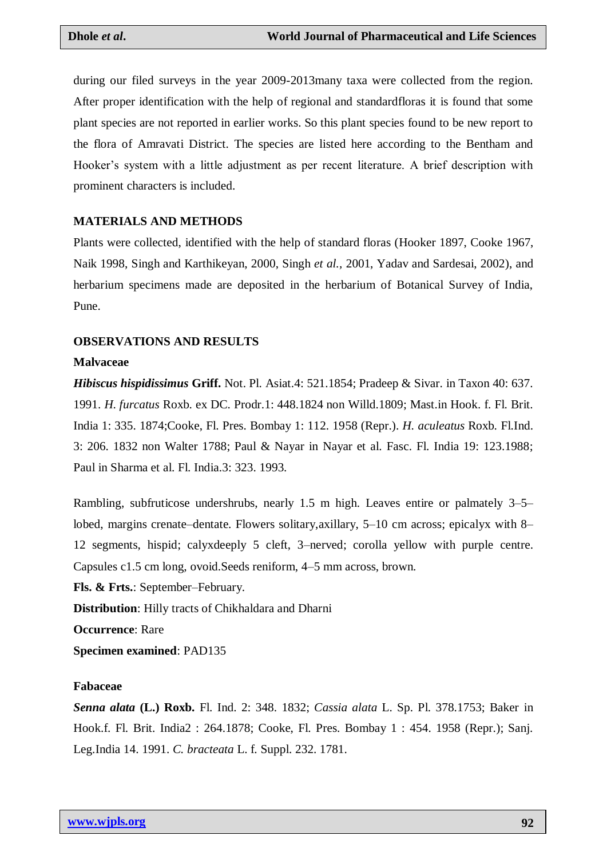during our filed surveys in the year 2009-2013many taxa were collected from the region. After proper identification with the help of regional and standardfloras it is found that some plant species are not reported in earlier works. So this plant species found to be new report to the flora of Amravati District. The species are listed here according to the Bentham and Hooker's system with a little adjustment as per recent literature. A brief description with prominent characters is included.

## **MATERIALS AND METHODS**

Plants were collected, identified with the help of standard floras (Hooker 1897, Cooke 1967, Naik 1998, Singh and Karthikeyan, 2000, Singh *et al.,* 2001, Yadav and Sardesai, 2002), and herbarium specimens made are deposited in the herbarium of Botanical Survey of India, Pune.

#### **OBSERVATIONS AND RESULTS**

#### **Malvaceae**

*Hibiscus hispidissimus* **Griff.** Not. Pl. Asiat.4: 521.1854; Pradeep & Sivar. in Taxon 40: 637. 1991. *H. furcatus* Roxb. ex DC. Prodr.1: 448.1824 non Willd.1809; Mast.in Hook. f. Fl. Brit. India 1: 335. 1874;Cooke, Fl. Pres. Bombay 1: 112. 1958 (Repr.). *H. aculeatus* Roxb. Fl.Ind. 3: 206. 1832 non Walter 1788; Paul & Nayar in Nayar et al. Fasc. Fl. India 19: 123.1988; Paul in Sharma et al. Fl. India.3: 323. 1993.

Rambling, subfruticose undershrubs, nearly 1.5 m high. Leaves entire or palmately 3–5– lobed, margins crenate–dentate. Flowers solitary, axillary, 5–10 cm across; epicalyx with 8– 12 segments, hispid; calyxdeeply 5 cleft, 3–nerved; corolla yellow with purple centre. Capsules c1.5 cm long, ovoid.Seeds reniform, 4–5 mm across, brown.

**Fls. & Frts.**: September–February.

**Distribution**: Hilly tracts of Chikhaldara and Dharni

**Occurrence**: Rare

**Specimen examined**: PAD135

#### **Fabaceae**

*Senna alata* **(L.) Roxb.** Fl. Ind. 2: 348. 1832; *Cassia alata* L. Sp. Pl. 378.1753; Baker in Hook.f. Fl. Brit. India2 : 264.1878; Cooke, Fl. Pres. Bombay 1 : 454. 1958 (Repr.); Sanj. Leg.India 14. 1991. *C. bracteata* L. f. Suppl. 232. 1781.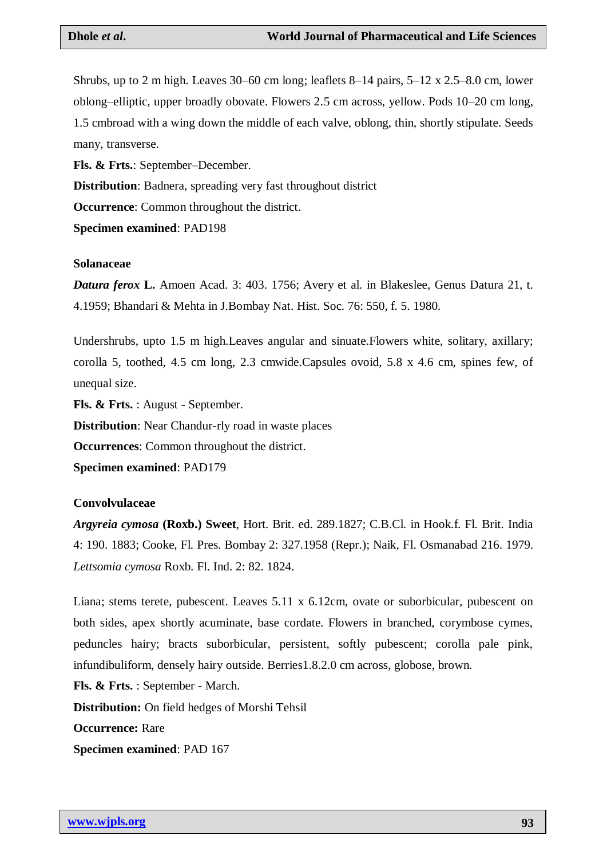Shrubs, up to 2 m high. Leaves 30–60 cm long; leaflets 8–14 pairs, 5–12 x 2.5–8.0 cm, lower oblong–elliptic, upper broadly obovate. Flowers 2.5 cm across, yellow. Pods 10–20 cm long, 1.5 cmbroad with a wing down the middle of each valve, oblong, thin, shortly stipulate. Seeds many, transverse.

**Fls. & Frts.**: September–December.

**Distribution**: Badnera, spreading very fast throughout district

**Occurrence:** Common throughout the district.

**Specimen examined**: PAD198

#### **Solanaceae**

*Datura ferox* **L.** Amoen Acad. 3: 403. 1756; Avery et al. in Blakeslee, Genus Datura 21, t. 4.1959; Bhandari & Mehta in J.Bombay Nat. Hist. Soc. 76: 550, f. 5. 1980.

Undershrubs, upto 1.5 m high.Leaves angular and sinuate.Flowers white, solitary, axillary; corolla 5, toothed, 4.5 cm long, 2.3 cmwide.Capsules ovoid, 5.8 x 4.6 cm, spines few, of unequal size.

**Fls. & Frts.** : August - September.

**Distribution**: Near Chandur-rly road in waste places

**Occurrences**: Common throughout the district.

**Specimen examined**: PAD179

#### **Convolvulaceae**

*Argyreia cymosa* **(Roxb.) Sweet**, Hort. Brit. ed. 289.1827; C.B.Cl. in Hook.f. Fl. Brit. India 4: 190. 1883; Cooke, Fl. Pres. Bombay 2: 327.1958 (Repr.); Naik, Fl. Osmanabad 216. 1979. *Lettsomia cymosa* Roxb. Fl. Ind. 2: 82. 1824.

Liana; stems terete, pubescent. Leaves 5.11 x 6.12cm, ovate or suborbicular, pubescent on both sides, apex shortly acuminate, base cordate. Flowers in branched, corymbose cymes, peduncles hairy; bracts suborbicular, persistent, softly pubescent; corolla pale pink, infundibuliform, densely hairy outside. Berries1.8.2.0 cm across, globose, brown. **Fls. & Frts.** : September - March. **Distribution:** On field hedges of Morshi Tehsil

**Occurrence:** Rare

**Specimen examined**: PAD 167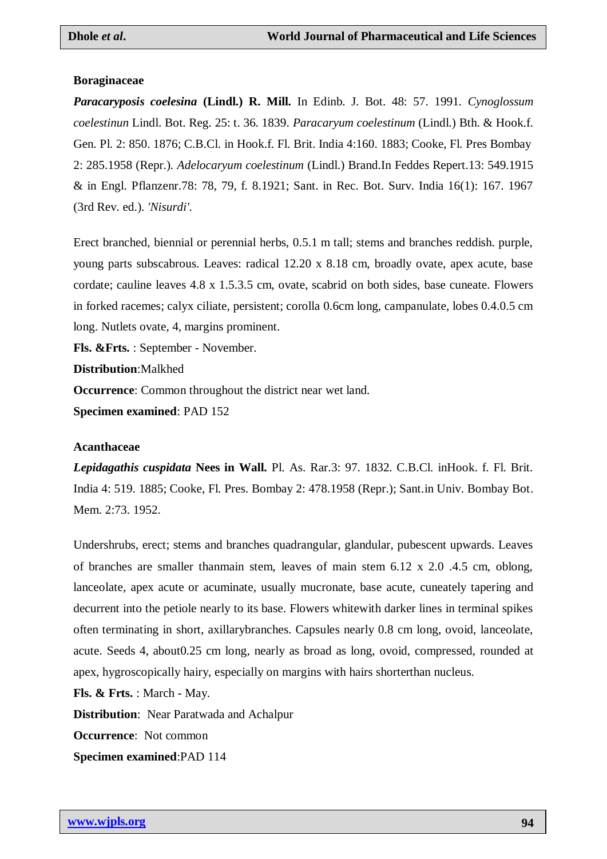#### **Boraginaceae**

*Paracaryposis coelesina* **(Lindl.) R. Mill.** In Edinb. J. Bot. 48: 57. 1991. *Cynoglossum coelestinun* Lindl. Bot. Reg. 25: t. 36. 1839. *Paracaryum coelestinum* (Lindl.) Bth. & Hook.f. Gen. Pl. 2: 850. 1876; C.B.Cl. in Hook.f. Fl. Brit. India 4:160. 1883; Cooke, Fl. Pres Bombay 2: 285.1958 (Repr.). *Adelocaryum coelestinum* (Lindl.) Brand.In Feddes Repert.13: 549.1915 & in Engl. Pflanzenr.78: 78, 79, f. 8.1921; Sant. in Rec. Bot. Surv. India 16(1): 167. 1967 (3rd Rev. ed.). *'Nisurdi'.*

Erect branched, biennial or perennial herbs, 0.5.1 m tall; stems and branches reddish. purple, young parts subscabrous. Leaves: radical 12.20 x 8.18 cm, broadly ovate, apex acute, base cordate; cauline leaves 4.8 x 1.5.3.5 cm, ovate, scabrid on both sides, base cuneate. Flowers in forked racemes; calyx ciliate, persistent; corolla 0.6cm long, campanulate, lobes 0.4.0.5 cm long. Nutlets ovate, 4, margins prominent.

**Fls. &Frts.** : September - November.

**Distribution**:Malkhed

**Occurrence**: Common throughout the district near wet land.

**Specimen examined**: PAD 152

#### **Acanthaceae**

*Lepidagathis cuspidata* **Nees in Wall.** Pl. As. Rar.3: 97. 1832. C.B.Cl. inHook. f. Fl. Brit. India 4: 519. 1885; Cooke, Fl. Pres. Bombay 2: 478.1958 (Repr.); Sant.in Univ. Bombay Bot. Mem. 2:73. 1952.

Undershrubs, erect; stems and branches quadrangular, glandular, pubescent upwards. Leaves of branches are smaller thanmain stem, leaves of main stem 6.12 x 2.0 .4.5 cm, oblong, lanceolate, apex acute or acuminate, usually mucronate, base acute, cuneately tapering and decurrent into the petiole nearly to its base. Flowers whitewith darker lines in terminal spikes often terminating in short, axillarybranches. Capsules nearly 0.8 cm long, ovoid, lanceolate, acute. Seeds 4, about0.25 cm long, nearly as broad as long, ovoid, compressed, rounded at apex, hygroscopically hairy, especially on margins with hairs shorterthan nucleus.

**Fls. & Frts.** : March - May.

**Distribution**: Near Paratwada and Achalpur

**Occurrence:** Not common

**Specimen examined**:PAD 114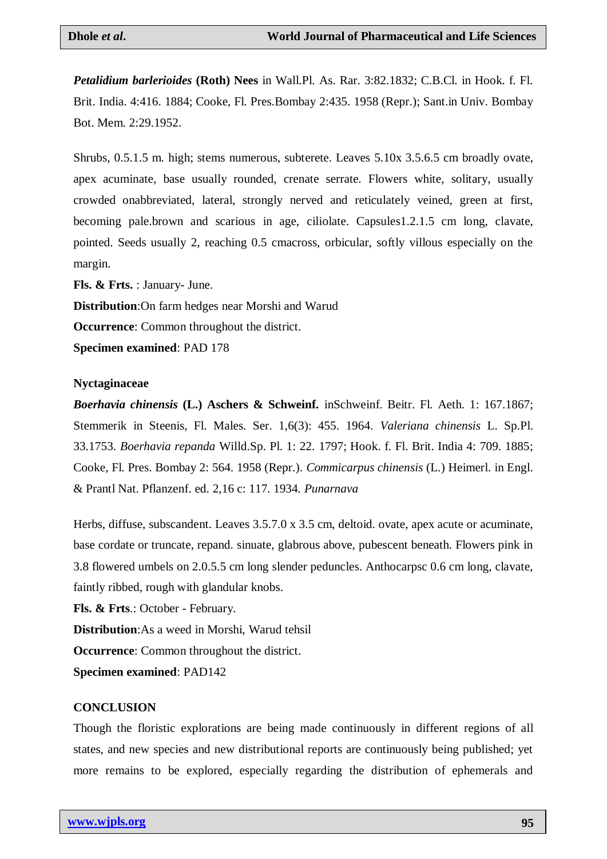*Petalidium barlerioides* **(Roth) Nees** in Wall.Pl. As. Rar. 3:82.1832; C.B.Cl. in Hook. f. Fl. Brit. India. 4:416. 1884; Cooke, Fl. Pres.Bombay 2:435. 1958 (Repr.); Sant.in Univ. Bombay Bot. Mem. 2:29.1952.

Shrubs, 0.5.1.5 m. high; stems numerous, subterete. Leaves 5.10x 3.5.6.5 cm broadly ovate, apex acuminate, base usually rounded, crenate serrate. Flowers white, solitary, usually crowded onabbreviated, lateral, strongly nerved and reticulately veined, green at first, becoming pale.brown and scarious in age, ciliolate. Capsules1.2.1.5 cm long, clavate, pointed. Seeds usually 2, reaching 0.5 cmacross, orbicular, softly villous especially on the margin.

**Fls. & Frts.** : January- June.

**Distribution**:On farm hedges near Morshi and Warud

**Occurrence**: Common throughout the district.

**Specimen examined**: PAD 178

#### **Nyctaginaceae**

*Boerhavia chinensis* **(L.) Aschers & Schweinf.** inSchweinf. Beitr. Fl. Aeth. 1: 167.1867; Stemmerik in Steenis, Fl. Males. Ser. 1,6(3): 455. 1964. *Valeriana chinensis* L. Sp.Pl. 33.1753. *Boerhavia repanda* Willd.Sp. Pl. 1: 22. 1797; Hook. f. Fl. Brit. India 4: 709. 1885; Cooke, Fl. Pres. Bombay 2: 564. 1958 (Repr.). *Commicarpus chinensis* (L.) Heimerl. in Engl. & Prantl Nat. Pflanzenf. ed. 2,16 c: 117. 1934. *Punarnava*

Herbs, diffuse, subscandent. Leaves 3.5.7.0 x 3.5 cm, deltoid. ovate, apex acute or acuminate, base cordate or truncate, repand. sinuate, glabrous above, pubescent beneath. Flowers pink in 3.8 flowered umbels on 2.0.5.5 cm long slender peduncles. Anthocarpsc 0.6 cm long, clavate, faintly ribbed, rough with glandular knobs.

**Fls. & Frts**.: October - February. **Distribution**:As a weed in Morshi, Warud tehsil **Occurrence**: Common throughout the district.

**Specimen examined**: PAD142

#### **CONCLUSION**

Though the floristic explorations are being made continuously in different regions of all states, and new species and new distributional reports are continuously being published; yet more remains to be explored, especially regarding the distribution of ephemerals and